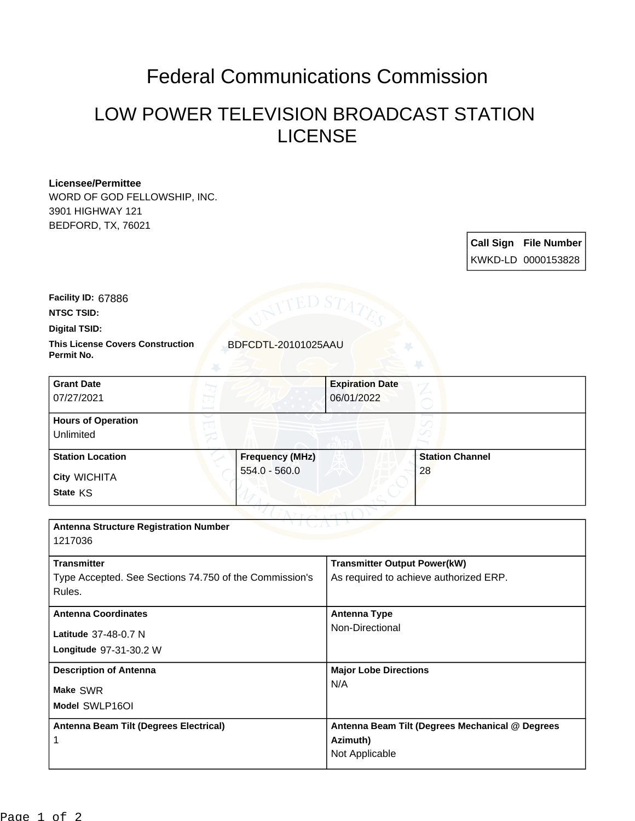## Federal Communications Commission

## LOW POWER TELEVISION BROADCAST STATION LICENSE

## **Licensee/Permittee**

WORD OF GOD FELLOWSHIP, INC. 3901 HIGHWAY 121 BEDFORD, TX, 76021

> **Call Sign File Number** KWKD-LD 0000153828

**Facility ID:** 67886

**NTSC TSID:**

**Digital TSID:**

**This License Covers Construction BDFCDTL-20101025AAU Permit No.**

| <b>Grant Date</b><br>07/27/2021        |                        | <b>Expiration Date</b><br>06/01/2022 |
|----------------------------------------|------------------------|--------------------------------------|
| <b>Hours of Operation</b><br>Unlimited |                        | ✓                                    |
| <b>Station Location</b>                | <b>Frequency (MHz)</b> | <b>Station Channel</b>               |
| <b>City WICHITA</b><br>State KS        | 554.0 - 560.0          | 28                                   |

| <b>Antenna Structure Registration Number</b><br>1217036                                |                                                                               |  |
|----------------------------------------------------------------------------------------|-------------------------------------------------------------------------------|--|
| <b>Transmitter</b><br>Type Accepted. See Sections 74.750 of the Commission's<br>Rules. | <b>Transmitter Output Power(kW)</b><br>As required to achieve authorized ERP. |  |
| <b>Antenna Coordinates</b><br>Latitude 37-48-0.7 N<br>Longitude 97-31-30.2 W           | <b>Antenna Type</b><br>Non-Directional                                        |  |
| <b>Description of Antenna</b><br>Make SWR<br>Model SWLP16OI                            | <b>Major Lobe Directions</b><br>N/A                                           |  |
| Antenna Beam Tilt (Degrees Electrical)                                                 | Antenna Beam Tilt (Degrees Mechanical @ Degrees<br>Azimuth)<br>Not Applicable |  |